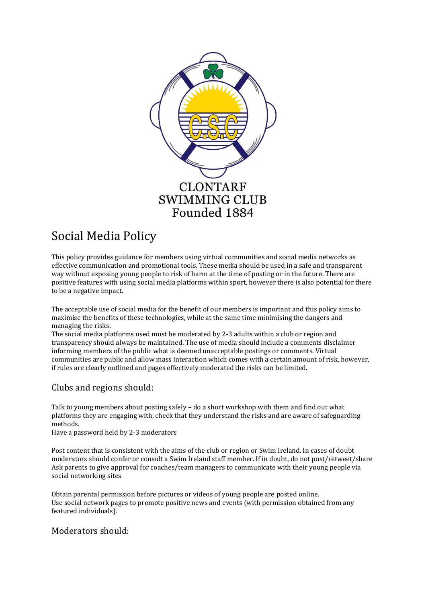

# Social Media Policy

This policy provides guidance for members using virtual communities and social media networks as effective communication and promotional tools. These media should be used in a safe and transparent way without exposing young people to risk of harm at the time of posting or in the future. There are positive features with using social media platforms within sport, however there is also potential for there to be a negative impact.

The acceptable use of social media for the benefit of our members is important and this policy aims to maximise the benefits of these technologies, while at the same time minimising the dangers and managing the risks.

The social media platforms used must be moderated by 2-3 adults within a club or region and transparency should always be maintained. The use of media should include a comments disclaimer informing members of the public what is deemed unacceptable postings or comments. Virtual communities are public and allow mass interaction which comes with a certain amount of risk, however, if rules are clearly outlined and pages effectively moderated the risks can be limited.

# Clubs and regions should:

Talk to young members about posting safely – do a short workshop with them and find out what platforms they are engaging with, check that they understand the risks and are aware of safeguarding methods.

Have a password held by 2-3 moderators

Post content that is consistent with the aims of the club or region or Swim Ireland. In cases of doubt moderators should confer or consult a Swim Ireland staff member. If in doubt, do not post/retweet/share Ask parents to give approval for coaches/team managers to communicate with their young people via social networking sites

Obtain parental permission before pictures or videos of young people are posted online. Use social network pages to promote positive news and events (with permission obtained from any featured individuals).

#### Moderators should: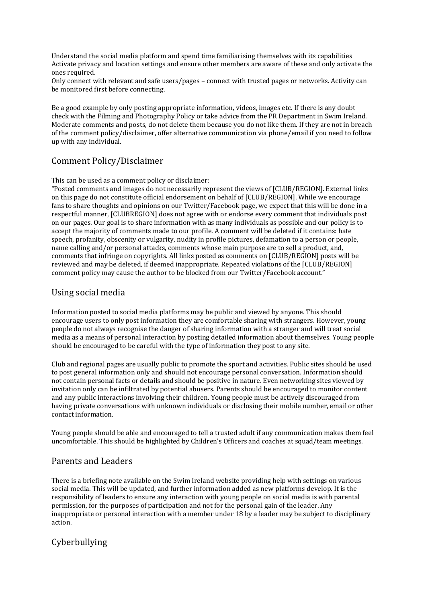Understand the social media platform and spend time familiarising themselves with its capabilities Activate privacy and location settings and ensure other members are aware of these and only activate the ones required.

Only connect with relevant and safe users/pages – connect with trusted pages or networks. Activity can be monitored first before connecting.

Be a good example by only posting appropriate information, videos, images etc. If there is any doubt check with the Filming and Photography Policy or take advice from the PR Department in Swim Ireland. Moderate comments and posts, do not delete them because you do not like them. If they are not in breach of the comment policy/disclaimer, offer alternative communication via phone/email if you need to follow up with any individual.

### Comment Policy/Disclaimer

This can be used as a comment policy or disclaimer:

"Posted comments and images do not necessarily represent the views of [CLUB/REGION]. External links on this page do not constitute official endorsement on behalf of [CLUB/REGION]. While we encourage fans to share thoughts and opinions on our Twitter/Facebook page, we expect that this will be done in a respectful manner, [CLUBREGION] does not agree with or endorse every comment that individuals post on our pages. Our goal is to share information with as many individuals as possible and our policy is to accept the majority of comments made to our profile. A comment will be deleted if it contains: hate speech, profanity, obscenity or vulgarity, nudity in profile pictures, defamation to a person or people, name calling and/or personal attacks, comments whose main purpose are to sell a product, and, comments that infringe on copyrights. All links posted as comments on [CLUB/REGION] posts will be reviewed and may be deleted, if deemed inappropriate. Repeated violations of the [CLUB/REGION] comment policy may cause the author to be blocked from our Twitter/Facebook account."

#### Using social media

Information posted to social media platforms may be public and viewed by anyone. This should encourage users to only post information they are comfortable sharing with strangers. However, young people do not always recognise the danger of sharing information with a stranger and will treat social media as a means of personal interaction by posting detailed information about themselves. Young people should be encouraged to be careful with the type of information they post to any site.

Club and regional pages are usually public to promote the sport and activities. Public sites should be used to post general information only and should not encourage personal conversation. Information should not contain personal facts or details and should be positive in nature. Even networking sites viewed by invitation only can be infiltrated by potential abusers. Parents should be encouraged to monitor content and any public interactions involving their children. Young people must be actively discouraged from having private conversations with unknown individuals or disclosing their mobile number, email or other contact information.

Young people should be able and encouraged to tell a trusted adult if any communication makes them feel uncomfortable. This should be highlighted by Children's Officers and coaches at squad/team meetings.

## Parents and Leaders

There is a briefing note available on the Swim Ireland website providing help with settings on various social media. This will be updated, and further information added as new platforms develop. It is the responsibility of leaders to ensure any interaction with young people on social media is with parental permission, for the purposes of participation and not for the personal gain of the leader. Any inappropriate or personal interaction with a member under 18 by a leader may be subject to disciplinary action.

# Cyberbullying